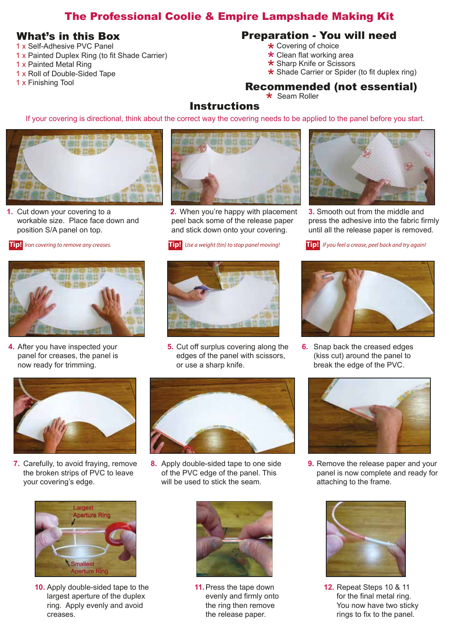# The Professional Coolie & Empire Lampshade Making Kit

- 1 x Self-Adhesive PVC Panel
- 1 x Painted Duplex Ring (to fit Shade Carrier)
- 1 x Painted Metal Ring
- 1 x Roll of Double-Sided Tape
- 1 x Finishing Tool

### What's in this Box Preparation - You will need

- Covering of choice
- **★** Covering of choice<br>★ Clean flat working area **★** Clean flat working area<br>★ Sharp Knife or Scissors
- 
- \* Sharp Knife or Scissors<br>\* Shade Carrier or Spider (to fit duplex ring)<br> **CHARACCORDIAL**

## Recommended (not essential)

 $\star$  Seam Roller

#### **Instructions**

If your covering is directional, think about the correct way the covering needs to be applied to the panel before you start.



Cut down your covering to a **1. 2.**  workable size. Place face down and position S/A panel on top.

**Tip!** *Iron covering to remove any creases.*



4. After you have inspected your panel for creases, the panel is now ready for trimming.



**2.** When you're happy with placement peel back some of the release paper and stick down onto your covering.

*Use a weight (tin) to stop panel moving!* **Tip! Tip!**



**4.** After you have inspected your **5.** Cut off surplus covering along the **6.** edges of the panel with scissors, or use a sharp knife.



**3.** Smooth out from the middle and press the adhesive into the fabric firmly until all the release paper is removed.





6. Snap back the creased edges (kiss cut) around the panel to break the edge of the PVC.



the broken strips of PVC to leave your covering's edge.



8. Apply double-sided tape to one side of the PVC edge of the panel. This will be used to stick the seam. **7.** Carefully, to avoid fraying, remove **8.** Apply double-sided tape to one side **9.** 



**10.** Apply double-sided tape to the **11.** Press the tape down **12.** largest aperture of the duplex ring. Apply evenly and avoid creases.



11. Press the tape down evenly and firmly onto the ring then remove the release paper.



9. Remove the release paper and your panel is now complete and ready for attaching to the frame.



**12. Repeat Steps 10 & 11** for the final metal ring. You now have two sticky rings to fix to the panel.